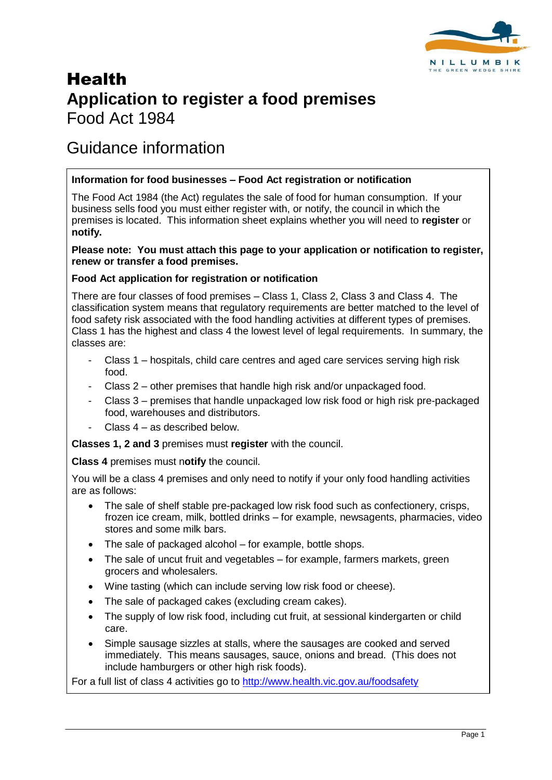

# Health **Application to register a food premises** Food Act 1984

## Guidance information

#### **Information for food businesses – Food Act registration or notification**

The Food Act 1984 (the Act) regulates the sale of food for human consumption. If your business sells food you must either register with, or notify, the council in which the premises is located. This information sheet explains whether you will need to **register** or **notify.**

#### **Please note: You must attach this page to your application or notification to register, renew or transfer a food premises.**

#### **Food Act application for registration or notification**

There are four classes of food premises – Class 1, Class 2, Class 3 and Class 4. The classification system means that regulatory requirements are better matched to the level of food safety risk associated with the food handling activities at different types of premises. Class 1 has the highest and class 4 the lowest level of legal requirements. In summary, the classes are:

- Class 1 hospitals, child care centres and aged care services serving high risk food.
- Class 2 other premises that handle high risk and/or unpackaged food.
- Class 3 premises that handle unpackaged low risk food or high risk pre-packaged food, warehouses and distributors.
- Class  $4 -$  as described below.

**Classes 1, 2 and 3** premises must **register** with the council.

**Class 4** premises must n**otify** the council.

You will be a class 4 premises and only need to notify if your only food handling activities are as follows:

- The sale of shelf stable pre-packaged low risk food such as confectionery, crisps, frozen ice cream, milk, bottled drinks – for example, newsagents, pharmacies, video stores and some milk bars.
- The sale of packaged alcohol for example, bottle shops.
- The sale of uncut fruit and vegetables for example, farmers markets, green grocers and wholesalers.
- Wine tasting (which can include serving low risk food or cheese).
- The sale of packaged cakes (excluding cream cakes).
- The supply of low risk food, including cut fruit, at sessional kindergarten or child care.
- Simple sausage sizzles at stalls, where the sausages are cooked and served immediately. This means sausages, sauce, onions and bread. (This does not include hamburgers or other high risk foods).

For a full list of class 4 activities go to<http://www.health.vic.gov.au/foodsafety>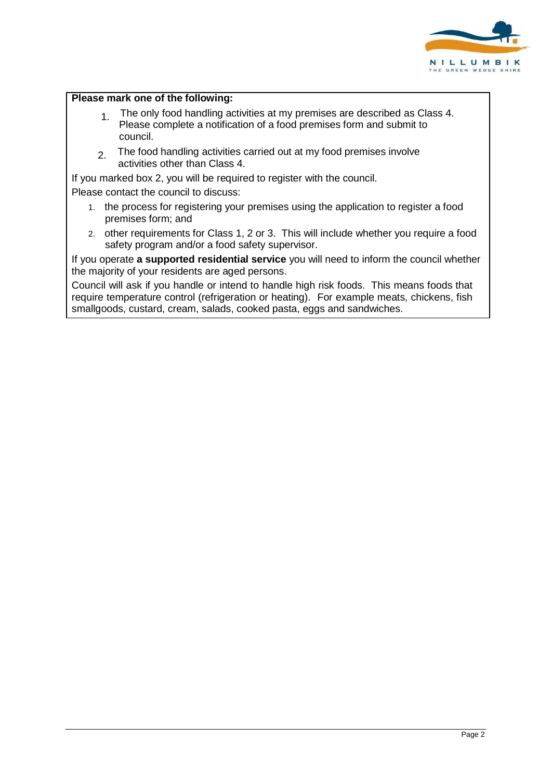

#### **Please mark one of the following:**

- $1.1$  The only food handling activities at my premises are described as Class 4. Please complete a notification of a food premises form and submit to council.
- 2. The food handling activities carried out at my food premises involve activities other than Class 4.

If you marked box 2, you will be required to register with the council.

Please contact the council to discuss:

- 1. the process for registering your premises using the application to register a food premises form; and
- 2. other requirements for Class 1, 2 or 3. This will include whether you require a food safety program and/or a food safety supervisor.

If you operate **a supported residential service** you will need to inform the council whether the majority of your residents are aged persons.

Council will ask if you handle or intend to handle high risk foods. This means foods that require temperature control (refrigeration or heating). For example meats, chickens, fish smallgoods, custard, cream, salads, cooked pasta, eggs and sandwiches.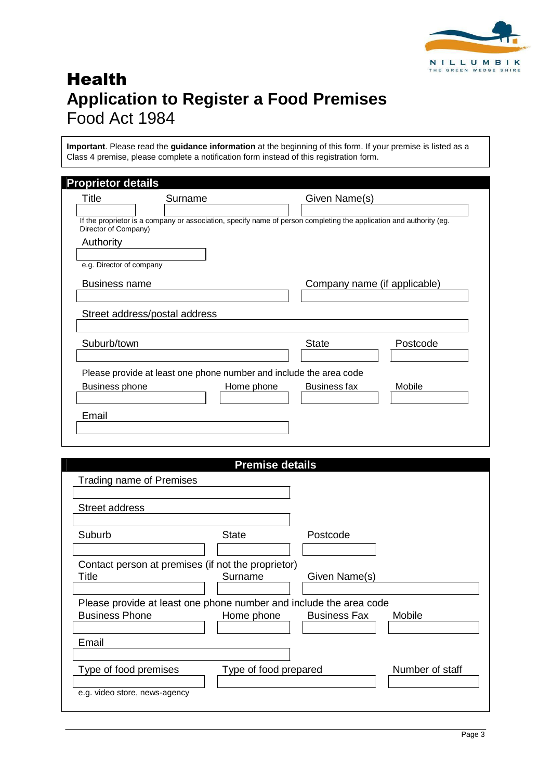

# **Health Application to Register a Food Premises** Food Act 1984

**Important**. Please read the **guidance information** at the beginning of this form. If your premise is listed as a Class 4 premise, please complete a notification form instead of this registration form.

| Title                    | Surname                                                                                                             |            | Given Name(s)                |          |
|--------------------------|---------------------------------------------------------------------------------------------------------------------|------------|------------------------------|----------|
| Director of Company)     | If the proprietor is a company or association, specify name of person completing the application and authority (eg. |            |                              |          |
| Authority                |                                                                                                                     |            |                              |          |
| e.g. Director of company |                                                                                                                     |            |                              |          |
| <b>Business name</b>     |                                                                                                                     |            | Company name (if applicable) |          |
|                          |                                                                                                                     |            |                              |          |
|                          |                                                                                                                     |            |                              |          |
|                          | Street address/postal address                                                                                       |            |                              |          |
|                          |                                                                                                                     |            |                              |          |
| Suburb/town              |                                                                                                                     |            | <b>State</b>                 | Postcode |
|                          |                                                                                                                     |            |                              |          |
|                          | Please provide at least one phone number and include the area code                                                  |            |                              |          |
| Business phone           |                                                                                                                     | Home phone | <b>Business fax</b>          | Mobile   |

|                                                                                             | <b>Premise details</b> |                     |                 |
|---------------------------------------------------------------------------------------------|------------------------|---------------------|-----------------|
| Trading name of Premises                                                                    |                        |                     |                 |
|                                                                                             |                        |                     |                 |
| <b>Street address</b>                                                                       |                        |                     |                 |
|                                                                                             |                        |                     |                 |
| Suburb                                                                                      | <b>State</b>           | Postcode            |                 |
|                                                                                             |                        |                     |                 |
| Contact person at premises (if not the proprietor)                                          |                        |                     |                 |
| Title                                                                                       | Surname                | Given Name(s)       |                 |
|                                                                                             |                        |                     |                 |
| Please provide at least one phone number and include the area code<br><b>Business Phone</b> | Home phone             | <b>Business Fax</b> | Mobile          |
|                                                                                             |                        |                     |                 |
| Email                                                                                       |                        |                     |                 |
|                                                                                             |                        |                     |                 |
| Type of food premises                                                                       | Type of food prepared  |                     | Number of staff |
|                                                                                             |                        |                     |                 |
| e.g. video store, news-agency                                                               |                        |                     |                 |
|                                                                                             |                        |                     |                 |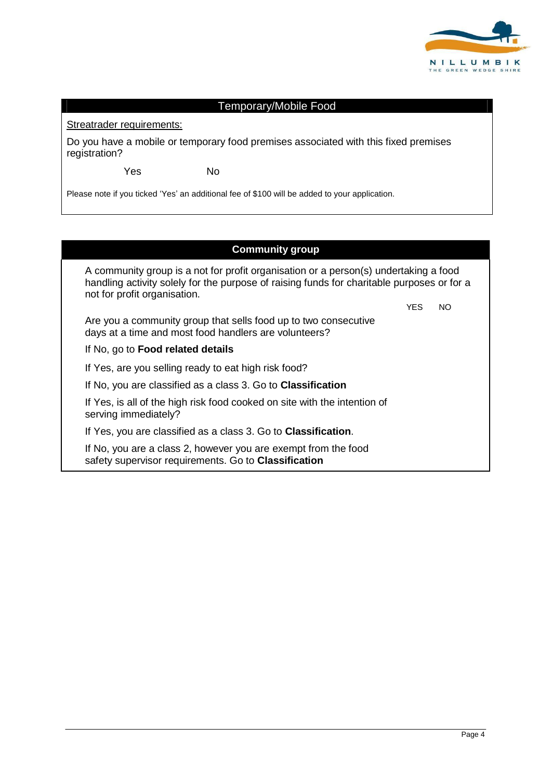

### Streatrader requirements: Temporary/Mobile Food Do you have a mobile or temporary food premises associated with this fixed premises

Yes No

registration?

Please note if you ticked 'Yes' an additional fee of \$100 will be added to your application.

#### **Community group**

A community group is a not for profit organisation or a person(s) undertaking a food handling activity solely for the purpose of raising funds for charitable purposes or for a not for profit organisation. YES NO

Are you a community group that sells food up to two consecutive days at a time and most food handlers are volunteers?

#### If No, go to **Food related details**

If Yes, are you selling ready to eat high risk food?

If No, you are classified as a class 3. Go to **Classification**

If Yes, is all of the high risk food cooked on site with the intention of serving immediately?

If Yes, you are classified as a class 3. Go to **Classification**.

If No, you are a class 2, however you are exempt from the food safety supervisor requirements. Go to **Classification**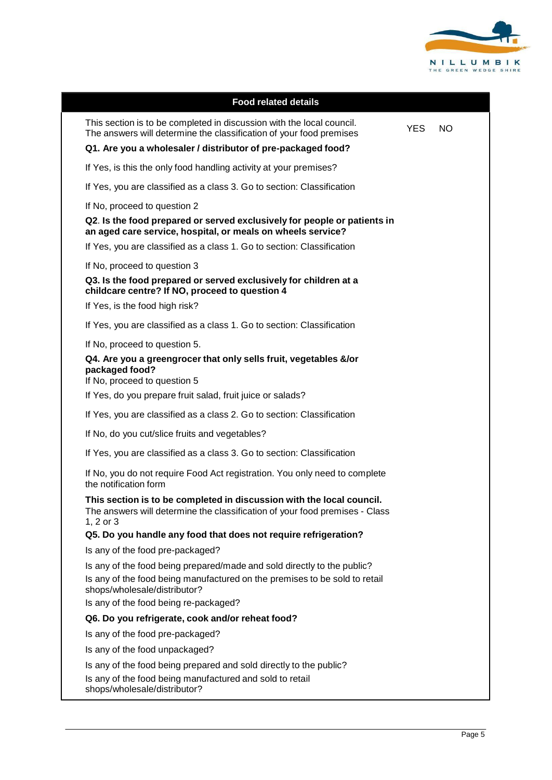

| <b>Food related details</b>                                                                                                                                       |            |     |
|-------------------------------------------------------------------------------------------------------------------------------------------------------------------|------------|-----|
| This section is to be completed in discussion with the local council.<br>The answers will determine the classification of your food premises                      | <b>YES</b> | NO. |
| Q1. Are you a wholesaler / distributor of pre-packaged food?                                                                                                      |            |     |
| If Yes, is this the only food handling activity at your premises?                                                                                                 |            |     |
| If Yes, you are classified as a class 3. Go to section: Classification                                                                                            |            |     |
| If No, proceed to question 2                                                                                                                                      |            |     |
| Q2. Is the food prepared or served exclusively for people or patients in<br>an aged care service, hospital, or meals on wheels service?                           |            |     |
| If Yes, you are classified as a class 1. Go to section: Classification                                                                                            |            |     |
| If No, proceed to question 3                                                                                                                                      |            |     |
| Q3. Is the food prepared or served exclusively for children at a<br>childcare centre? If NO, proceed to question 4                                                |            |     |
| If Yes, is the food high risk?                                                                                                                                    |            |     |
| If Yes, you are classified as a class 1. Go to section: Classification                                                                                            |            |     |
| If No, proceed to question 5.                                                                                                                                     |            |     |
| Q4. Are you a greengrocer that only sells fruit, vegetables &/or<br>packaged food?<br>If No, proceed to question 5                                                |            |     |
| If Yes, do you prepare fruit salad, fruit juice or salads?                                                                                                        |            |     |
| If Yes, you are classified as a class 2. Go to section: Classification                                                                                            |            |     |
| If No, do you cut/slice fruits and vegetables?                                                                                                                    |            |     |
| If Yes, you are classified as a class 3. Go to section: Classification                                                                                            |            |     |
| If No, you do not require Food Act registration. You only need to complete<br>the notification form                                                               |            |     |
| This section is to be completed in discussion with the local council.<br>The answers will determine the classification of your food premises - Class<br>1, 2 or 3 |            |     |
| Q5. Do you handle any food that does not require refrigeration?                                                                                                   |            |     |
| Is any of the food pre-packaged?                                                                                                                                  |            |     |
| Is any of the food being prepared/made and sold directly to the public?                                                                                           |            |     |
| Is any of the food being manufactured on the premises to be sold to retail<br>shops/wholesale/distributor?                                                        |            |     |
| Is any of the food being re-packaged?                                                                                                                             |            |     |
| Q6. Do you refrigerate, cook and/or reheat food?                                                                                                                  |            |     |
| Is any of the food pre-packaged?                                                                                                                                  |            |     |
| Is any of the food unpackaged?                                                                                                                                    |            |     |
| Is any of the food being prepared and sold directly to the public?                                                                                                |            |     |
| Is any of the food being manufactured and sold to retail<br>shops/wholesale/distributor?                                                                          |            |     |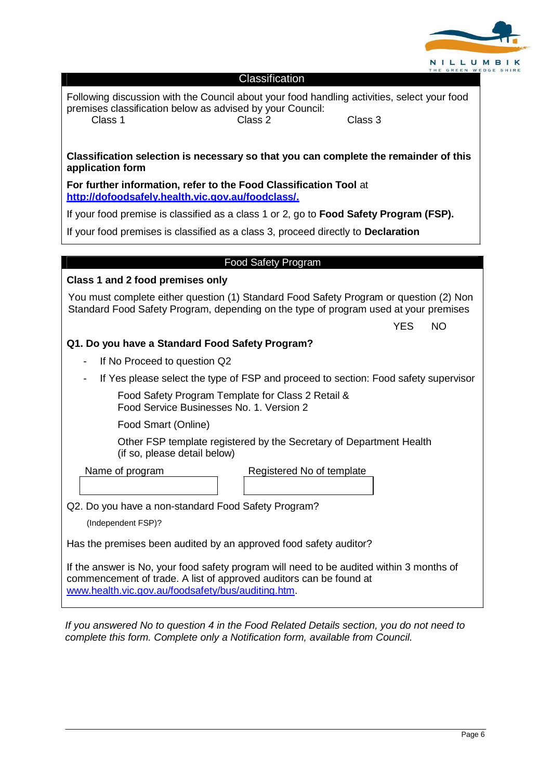

| Classification |  |
|----------------|--|
|                |  |

Following discussion with the Council about your food handling activities, select your food premises classification below as advised by your Council: Class 1 Class 2 Class 2 Class 3

**Classification selection is necessary so that you can complete the remainder of this application form**

**For further information, refer to the Food Classification Tool** at **[http://dofoodsafely.health.vic.gov.au/foodclass/.](http://dofoodsafely.health.vic.gov.au/foodclass/)**

If your food premise is classified as a class 1 or 2, go to **Food Safety Program (FSP).**

If your food premises is classified as a class 3, proceed directly to **Declaration**

#### Food Safety Program

#### **Class 1 and 2 food premises only**

You must complete either question (1) Standard Food Safety Program or question (2) Non Standard Food Safety Program, depending on the type of program used at your premises

YES NO

#### **Q1. Do you have a Standard Food Safety Program?**

- If No Proceed to question Q2
- If Yes please select the type of FSP and proceed to section: Food safety supervisor

Food Safety Program Template for Class 2 Retail & Food Service Businesses No. 1. Version 2

Food Smart (Online)

Other FSP template registered by the Secretary of Department Health (if so, please detail below)

Name of program Registered No of template

Q2. Do you have a non-standard Food Safety Program?

(Independent FSP)?

Has the premises been audited by an approved food safety auditor?

If the answer is No, your food safety program will need to be audited within 3 months of commencement of trade. A list of approved auditors can be found at [www.health.vic.gov.au/foodsafety/bus/auditing.htm.](http://www.health.vic.gov.au/foodsafety/bus/auditing.htm)

*If you answered No to question 4 in the Food Related Details section, you do not need to complete this form. Complete only a Notification form, available from Council.*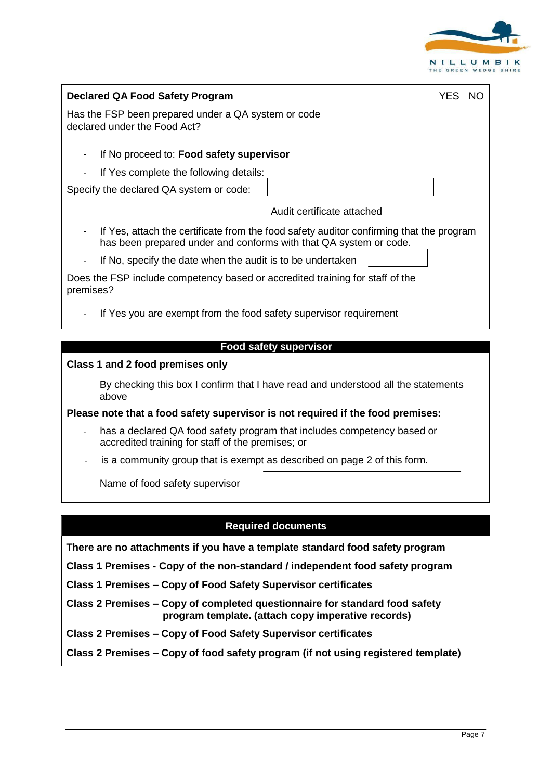

| <b>Declared QA Food Safety Program</b><br><b>YES</b><br>-NO                                                                                                  |
|--------------------------------------------------------------------------------------------------------------------------------------------------------------|
| Has the FSP been prepared under a QA system or code<br>declared under the Food Act?                                                                          |
| If No proceed to: Food safety supervisor<br>-                                                                                                                |
| If Yes complete the following details:                                                                                                                       |
| Specify the declared QA system or code:                                                                                                                      |
| Audit certificate attached                                                                                                                                   |
| If Yes, attach the certificate from the food safety auditor confirming that the program<br>has been prepared under and conforms with that QA system or code. |
| If No, specify the date when the audit is to be undertaken                                                                                                   |
| Does the FSP include competency based or accredited training for staff of the<br>premises?                                                                   |
| If Yes you are exempt from the food safety supervisor requirement                                                                                            |
|                                                                                                                                                              |
| <b>Food safety supervisor</b>                                                                                                                                |
| Class 1 and 2 food premises only                                                                                                                             |
| By checking this box I confirm that I have read and understood all the statements<br>above                                                                   |
| Please note that a food safety supervisor is not required if the food premises:                                                                              |
| has a declared QA food safety program that includes competency based or<br>accredited training for staff of the premises; or                                 |
| is a community group that is exempt as described on page 2 of this form.                                                                                     |

Name of food safety supervisor

#### **Required documents**

**There are no attachments if you have a template standard food safety program** 

**Class 1 Premises - Copy of the non-standard / independent food safety program** 

**Class 1 Premises – Copy of Food Safety Supervisor certificates**

**Class 2 Premises – Copy of completed questionnaire for standard food safety program template. (attach copy imperative records)**

**Class 2 Premises – Copy of Food Safety Supervisor certificates**

**Class 2 Premises – Copy of food safety program (if not using registered template)**